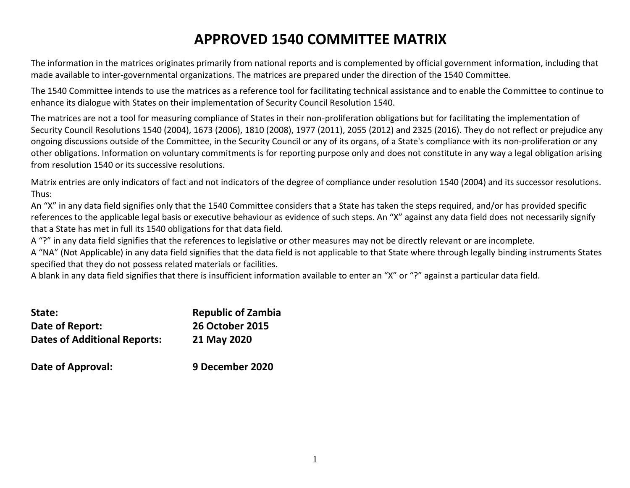# **APPROVED 1540 COMMITTEE MATRIX**

The information in the matrices originates primarily from national reports and is complemented by official government information, including that made available to inter-governmental organizations. The matrices are prepared under the direction of the 1540 Committee.

The 1540 Committee intends to use the matrices as a reference tool for facilitating technical assistance and to enable the Committee to continue to enhance its dialogue with States on their implementation of Security Council Resolution 1540.

The matrices are not a tool for measuring compliance of States in their non-proliferation obligations but for facilitating the implementation of Security Council Resolutions 1540 (2004), 1673 (2006), 1810 (2008), 1977 (2011), 2055 (2012) and 2325 (2016). They do not reflect or prejudice any ongoing discussions outside of the Committee, in the Security Council or any of its organs, of a State's compliance with its non-proliferation or any other obligations. Information on voluntary commitments is for reporting purpose only and does not constitute in any way a legal obligation arising from resolution 1540 or its successive resolutions.

Matrix entries are only indicators of fact and not indicators of the degree of compliance under resolution 1540 (2004) and its successor resolutions. Thus:

An "X" in any data field signifies only that the 1540 Committee considers that a State has taken the steps required, and/or has provided specific references to the applicable legal basis or executive behaviour as evidence of such steps. An "X" against any data field does not necessarily signify that a State has met in full its 1540 obligations for that data field.

A "?" in any data field signifies that the references to legislative or other measures may not be directly relevant or are incomplete.

A "NA" (Not Applicable) in any data field signifies that the data field is not applicable to that State where through legally binding instruments States specified that they do not possess related materials or facilities.

A blank in any data field signifies that there is insufficient information available to enter an "X" or "?" against a particular data field.

| State:                              | <b>Republic of Zambia</b> |
|-------------------------------------|---------------------------|
| Date of Report:                     | <b>26 October 2015</b>    |
| <b>Dates of Additional Reports:</b> | 21 May 2020               |
| Date of Approval:                   | 9 December 2020           |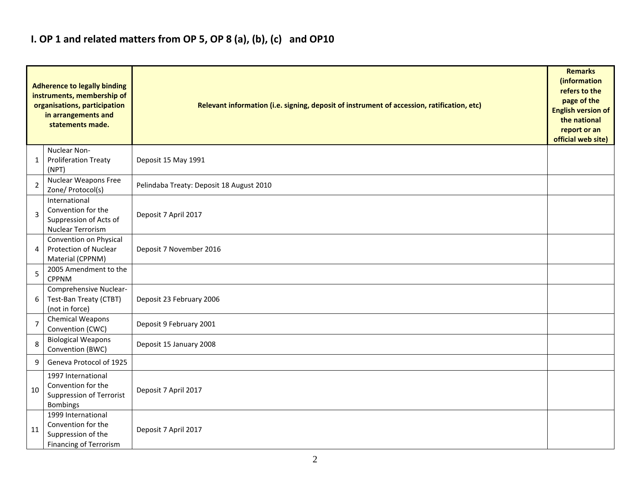### **I. OP 1 and related matters from OP 5, OP 8 (a), (b), (c) and OP10**

|    | <b>Adherence to legally binding</b><br>instruments, membership of<br>organisations, participation<br>in arrangements and<br>statements made. | Relevant information (i.e. signing, deposit of instrument of accession, ratification, etc) |  |  |  |  |  |  |  |  |
|----|----------------------------------------------------------------------------------------------------------------------------------------------|--------------------------------------------------------------------------------------------|--|--|--|--|--|--|--|--|
| 1  | Nuclear Non-<br><b>Proliferation Treaty</b><br>(NPT)                                                                                         | Deposit 15 May 1991                                                                        |  |  |  |  |  |  |  |  |
| 2  | Nuclear Weapons Free<br>Zone/ Protocol(s)                                                                                                    | Pelindaba Treaty: Deposit 18 August 2010                                                   |  |  |  |  |  |  |  |  |
| 3  | International<br>Convention for the<br>Suppression of Acts of<br><b>Nuclear Terrorism</b>                                                    | Deposit 7 April 2017                                                                       |  |  |  |  |  |  |  |  |
| 4  | Convention on Physical<br><b>Protection of Nuclear</b><br>Material (CPPNM)                                                                   | Deposit 7 November 2016                                                                    |  |  |  |  |  |  |  |  |
| 5  | 2005 Amendment to the<br><b>CPPNM</b>                                                                                                        |                                                                                            |  |  |  |  |  |  |  |  |
| 6  | Comprehensive Nuclear-<br>Test-Ban Treaty (CTBT)<br>(not in force)                                                                           | Deposit 23 February 2006                                                                   |  |  |  |  |  |  |  |  |
| 7  | Chemical Weapons<br>Convention (CWC)                                                                                                         | Deposit 9 February 2001                                                                    |  |  |  |  |  |  |  |  |
| 8  | <b>Biological Weapons</b><br>Convention (BWC)                                                                                                | Deposit 15 January 2008                                                                    |  |  |  |  |  |  |  |  |
| 9  | Geneva Protocol of 1925                                                                                                                      |                                                                                            |  |  |  |  |  |  |  |  |
| 10 | 1997 International<br>Convention for the<br>Suppression of Terrorist<br><b>Bombings</b>                                                      | Deposit 7 April 2017                                                                       |  |  |  |  |  |  |  |  |
| 11 | 1999 International<br>Convention for the<br>Suppression of the<br><b>Financing of Terrorism</b>                                              | Deposit 7 April 2017                                                                       |  |  |  |  |  |  |  |  |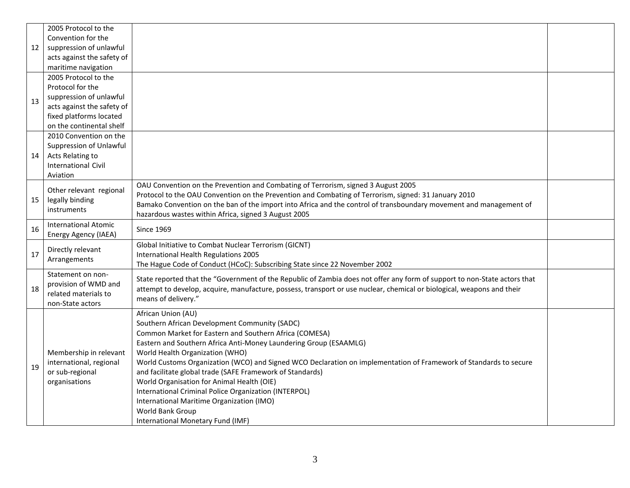|    | 2005 Protocol to the                      |                                                                                                                           |  |
|----|-------------------------------------------|---------------------------------------------------------------------------------------------------------------------------|--|
|    | Convention for the                        |                                                                                                                           |  |
| 12 | suppression of unlawful                   |                                                                                                                           |  |
|    | acts against the safety of                |                                                                                                                           |  |
|    | maritime navigation                       |                                                                                                                           |  |
|    | 2005 Protocol to the                      |                                                                                                                           |  |
|    | Protocol for the                          |                                                                                                                           |  |
| 13 | suppression of unlawful                   |                                                                                                                           |  |
|    | acts against the safety of                |                                                                                                                           |  |
|    | fixed platforms located                   |                                                                                                                           |  |
|    | on the continental shelf                  |                                                                                                                           |  |
|    | 2010 Convention on the                    |                                                                                                                           |  |
|    | Suppression of Unlawful                   |                                                                                                                           |  |
| 14 | Acts Relating to                          |                                                                                                                           |  |
|    | <b>International Civil</b>                |                                                                                                                           |  |
|    | Aviation                                  |                                                                                                                           |  |
|    | Other relevant regional                   | OAU Convention on the Prevention and Combating of Terrorism, signed 3 August 2005                                         |  |
| 15 | legally binding                           | Protocol to the OAU Convention on the Prevention and Combating of Terrorism, signed: 31 January 2010                      |  |
|    | instruments                               | Bamako Convention on the ban of the import into Africa and the control of transboundary movement and management of        |  |
|    |                                           | hazardous wastes within Africa, signed 3 August 2005                                                                      |  |
| 16 | <b>International Atomic</b>               | <b>Since 1969</b>                                                                                                         |  |
|    | Energy Agency (IAEA)                      |                                                                                                                           |  |
|    | Directly relevant                         | Global Initiative to Combat Nuclear Terrorism (GICNT)                                                                     |  |
| 17 | Arrangements                              | International Health Regulations 2005                                                                                     |  |
|    |                                           | The Hague Code of Conduct (HCoC): Subscribing State since 22 November 2002                                                |  |
|    | Statement on non-<br>provision of WMD and | State reported that the "Government of the Republic of Zambia does not offer any form of support to non-State actors that |  |
| 18 | related materials to                      | attempt to develop, acquire, manufacture, possess, transport or use nuclear, chemical or biological, weapons and their    |  |
|    | non-State actors                          | means of delivery."                                                                                                       |  |
|    |                                           | African Union (AU)                                                                                                        |  |
|    |                                           | Southern African Development Community (SADC)                                                                             |  |
|    |                                           | Common Market for Eastern and Southern Africa (COMESA)                                                                    |  |
|    |                                           | Eastern and Southern Africa Anti-Money Laundering Group (ESAAMLG)                                                         |  |
|    | Membership in relevant                    | World Health Organization (WHO)                                                                                           |  |
|    | international, regional                   | World Customs Organization (WCO) and Signed WCO Declaration on implementation of Framework of Standards to secure         |  |
| 19 | or sub-regional                           | and facilitate global trade (SAFE Framework of Standards)                                                                 |  |
|    | organisations                             | World Organisation for Animal Health (OIE)                                                                                |  |
|    |                                           | International Criminal Police Organization (INTERPOL)                                                                     |  |
|    |                                           | International Maritime Organization (IMO)                                                                                 |  |
|    |                                           | World Bank Group                                                                                                          |  |
|    |                                           | International Monetary Fund (IMF)                                                                                         |  |
|    |                                           |                                                                                                                           |  |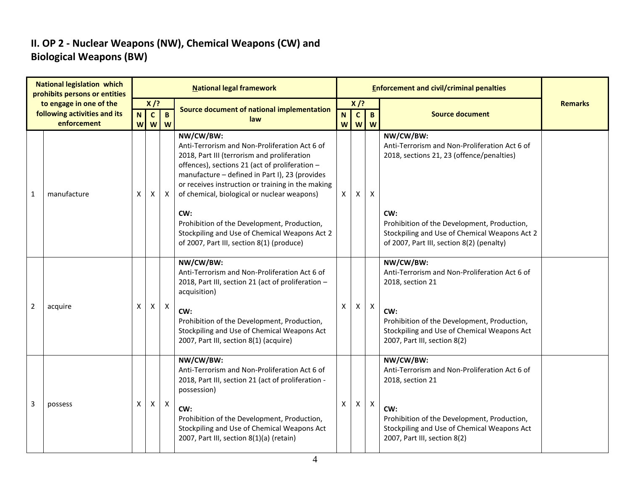#### **II. OP 2 - Nuclear Weapons (NW), Chemical Weapons (CW) and Biological Weapons (BW)**

|   | <b>National legislation which</b><br>prohibits persons or entities | <b>National legal framework</b> |                        |              |                                                                                                                                                                                                                                                                                                                                                                                                                          |          |                        |                           | <b>Enforcement and civil/criminal penalties</b>                                                                                                                                                                |                |
|---|--------------------------------------------------------------------|---------------------------------|------------------------|--------------|--------------------------------------------------------------------------------------------------------------------------------------------------------------------------------------------------------------------------------------------------------------------------------------------------------------------------------------------------------------------------------------------------------------------------|----------|------------------------|---------------------------|----------------------------------------------------------------------------------------------------------------------------------------------------------------------------------------------------------------|----------------|
|   | to engage in one of the<br>following activities and its            | $\mathbf N$                     | $X$ /?<br>$\mathbf{C}$ | $\mathbf{B}$ | Source document of national implementation                                                                                                                                                                                                                                                                                                                                                                               | N        | $X$ /?<br>$\mathbf{c}$ | $\mathbf{B}$              | <b>Source document</b>                                                                                                                                                                                         | <b>Remarks</b> |
|   | enforcement                                                        | W                               | W                      | W            | law                                                                                                                                                                                                                                                                                                                                                                                                                      | W        | W                      | W                         |                                                                                                                                                                                                                |                |
| 1 | manufacture                                                        | X                               | Χ                      | X            | NW/CW/BW:<br>Anti-Terrorism and Non-Proliferation Act 6 of<br>2018, Part III (terrorism and proliferation<br>offences), sections 21 (act of proliferation -<br>manufacture - defined in Part I), 23 (provides<br>or receives instruction or training in the making<br>of chemical, biological or nuclear weapons)<br>CW:<br>Prohibition of the Development, Production,<br>Stockpiling and Use of Chemical Weapons Act 2 | $\times$ | X                      | X                         | NW/CW/BW:<br>Anti-Terrorism and Non-Proliferation Act 6 of<br>2018, sections 21, 23 (offence/penalties)<br>CW:<br>Prohibition of the Development, Production,<br>Stockpiling and Use of Chemical Weapons Act 2 |                |
|   |                                                                    |                                 |                        |              | of 2007, Part III, section 8(1) (produce)                                                                                                                                                                                                                                                                                                                                                                                |          |                        |                           | of 2007, Part III, section 8(2) (penalty)                                                                                                                                                                      |                |
|   |                                                                    |                                 |                        |              | NW/CW/BW:<br>Anti-Terrorism and Non-Proliferation Act 6 of<br>2018, Part III, section 21 (act of proliferation -<br>acquisition)                                                                                                                                                                                                                                                                                         |          |                        |                           | NW/CW/BW:<br>Anti-Terrorism and Non-Proliferation Act 6 of<br>2018, section 21                                                                                                                                 |                |
| 2 | acquire                                                            | X                               | $\mathsf{X}$           | $\mathsf{X}$ | CW:<br>Prohibition of the Development, Production,<br>Stockpiling and Use of Chemical Weapons Act<br>2007, Part III, section 8(1) (acquire)                                                                                                                                                                                                                                                                              | X        | X                      | $\boldsymbol{\mathsf{X}}$ | CW:<br>Prohibition of the Development, Production,<br>Stockpiling and Use of Chemical Weapons Act<br>2007, Part III, section 8(2)                                                                              |                |
|   |                                                                    |                                 |                        |              | NW/CW/BW:<br>Anti-Terrorism and Non-Proliferation Act 6 of<br>2018, Part III, section 21 (act of proliferation -<br>possession)                                                                                                                                                                                                                                                                                          |          |                        |                           | NW/CW/BW:<br>Anti-Terrorism and Non-Proliferation Act 6 of<br>2018, section 21                                                                                                                                 |                |
| 3 | possess                                                            | X                               | $\mathsf{X}$           | $\mathsf{X}$ | CW:<br>Prohibition of the Development, Production,<br>Stockpiling and Use of Chemical Weapons Act<br>2007, Part III, section 8(1)(a) (retain)                                                                                                                                                                                                                                                                            | X        | X.                     | $\mathsf{X}$              | CW:<br>Prohibition of the Development, Production,<br>Stockpiling and Use of Chemical Weapons Act<br>2007, Part III, section 8(2)                                                                              |                |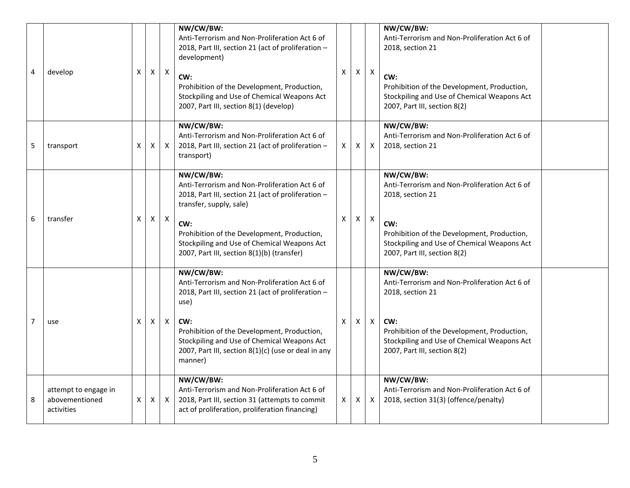| 4 | develop                                              | X | Χ | $\mathsf{X}$ | NW/CW/BW:<br>Anti-Terrorism and Non-Proliferation Act 6 of<br>2018, Part III, section 21 (act of proliferation -<br>development)<br>CW:<br>Prohibition of the Development, Production,<br>Stockpiling and Use of Chemical Weapons Act<br>2007, Part III, section 8(1) (develop)                 | X | X. | $\boldsymbol{\mathsf{X}}$ | NW/CW/BW:<br>Anti-Terrorism and Non-Proliferation Act 6 of<br>2018, section 21<br>CW:<br>Prohibition of the Development, Production,<br>Stockpiling and Use of Chemical Weapons Act<br>2007, Part III, section 8(2) |
|---|------------------------------------------------------|---|---|--------------|-------------------------------------------------------------------------------------------------------------------------------------------------------------------------------------------------------------------------------------------------------------------------------------------------|---|----|---------------------------|---------------------------------------------------------------------------------------------------------------------------------------------------------------------------------------------------------------------|
| 5 | transport                                            | х | х | $\mathsf{X}$ | NW/CW/BW:<br>Anti-Terrorism and Non-Proliferation Act 6 of<br>2018, Part III, section 21 (act of proliferation -<br>transport)                                                                                                                                                                  | X | X  | $\pmb{\times}$            | NW/CW/BW:<br>Anti-Terrorism and Non-Proliferation Act 6 of<br>2018, section 21                                                                                                                                      |
| 6 | transfer                                             | X | X | $\mathsf{X}$ | NW/CW/BW:<br>Anti-Terrorism and Non-Proliferation Act 6 of<br>2018, Part III, section 21 (act of proliferation -<br>transfer, supply, sale)<br>CW:<br>Prohibition of the Development, Production,<br>Stockpiling and Use of Chemical Weapons Act<br>2007, Part III, section 8(1)(b) (transfer)  | X | X  | X                         | NW/CW/BW:<br>Anti-Terrorism and Non-Proliferation Act 6 of<br>2018, section 21<br>CW:<br>Prohibition of the Development, Production,<br>Stockpiling and Use of Chemical Weapons Act<br>2007, Part III, section 8(2) |
| 7 | use                                                  | X | Χ | X            | NW/CW/BW:<br>Anti-Terrorism and Non-Proliferation Act 6 of<br>2018, Part III, section 21 (act of proliferation -<br>use)<br>CW:<br>Prohibition of the Development, Production,<br>Stockpiling and Use of Chemical Weapons Act<br>2007, Part III, section 8(1)(c) (use or deal in any<br>manner) | X | X. | X                         | NW/CW/BW:<br>Anti-Terrorism and Non-Proliferation Act 6 of<br>2018, section 21<br>CW:<br>Prohibition of the Development, Production,<br>Stockpiling and Use of Chemical Weapons Act<br>2007, Part III, section 8(2) |
| 8 | attempt to engage in<br>abovementioned<br>activities | X | X | $\mathsf{X}$ | NW/CW/BW:<br>Anti-Terrorism and Non-Proliferation Act 6 of<br>2018, Part III, section 31 (attempts to commit<br>act of proliferation, proliferation financing)                                                                                                                                  | X | X  | $\mathsf{X}$              | NW/CW/BW:<br>Anti-Terrorism and Non-Proliferation Act 6 of<br>2018, section 31(3) (offence/penalty)                                                                                                                 |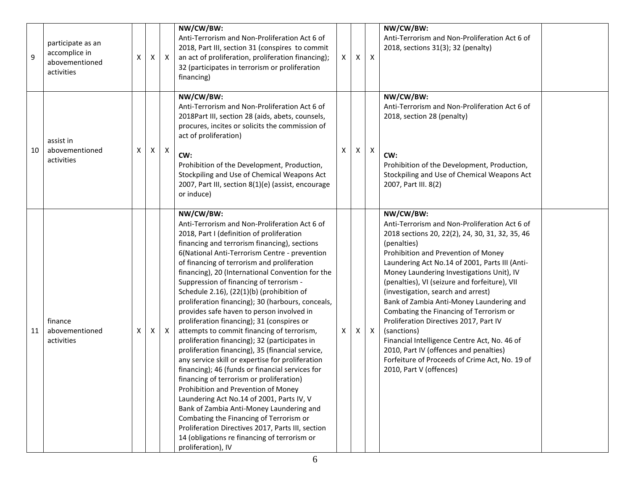| 9  | participate as an<br>accomplice in<br>abovementioned<br>activities | X | X | $\boldsymbol{\mathsf{X}}$ | NW/CW/BW:<br>Anti-Terrorism and Non-Proliferation Act 6 of<br>2018, Part III, section 31 (conspires to commit<br>an act of proliferation, proliferation financing);<br>32 (participates in terrorism or proliferation<br>financing)                                                                                                                                                                                                                                                                                                                                                                                                                                                                                                                                                                                                                                                                                                                                                                                                                                                                                                                             | X. | Χ | Χ                         | NW/CW/BW:<br>Anti-Terrorism and Non-Proliferation Act 6 of<br>2018, sections 31(3); 32 (penalty)                                                                                                                                                                                                                                                                                                                                                                                                                                                                                                                                                                                 |  |
|----|--------------------------------------------------------------------|---|---|---------------------------|-----------------------------------------------------------------------------------------------------------------------------------------------------------------------------------------------------------------------------------------------------------------------------------------------------------------------------------------------------------------------------------------------------------------------------------------------------------------------------------------------------------------------------------------------------------------------------------------------------------------------------------------------------------------------------------------------------------------------------------------------------------------------------------------------------------------------------------------------------------------------------------------------------------------------------------------------------------------------------------------------------------------------------------------------------------------------------------------------------------------------------------------------------------------|----|---|---------------------------|----------------------------------------------------------------------------------------------------------------------------------------------------------------------------------------------------------------------------------------------------------------------------------------------------------------------------------------------------------------------------------------------------------------------------------------------------------------------------------------------------------------------------------------------------------------------------------------------------------------------------------------------------------------------------------|--|
| 10 | assist in<br>abovementioned<br>activities                          | X | X | $\mathsf{X}$              | NW/CW/BW:<br>Anti-Terrorism and Non-Proliferation Act 6 of<br>2018Part III, section 28 (aids, abets, counsels,<br>procures, incites or solicits the commission of<br>act of proliferation)<br>CW:<br>Prohibition of the Development, Production,<br>Stockpiling and Use of Chemical Weapons Act<br>2007, Part III, section 8(1)(e) (assist, encourage<br>or induce)                                                                                                                                                                                                                                                                                                                                                                                                                                                                                                                                                                                                                                                                                                                                                                                             | X  | Χ | $\boldsymbol{\mathsf{X}}$ | NW/CW/BW:<br>Anti-Terrorism and Non-Proliferation Act 6 of<br>2018, section 28 (penalty)<br>CW:<br>Prohibition of the Development, Production,<br>Stockpiling and Use of Chemical Weapons Act<br>2007, Part III. 8(2)                                                                                                                                                                                                                                                                                                                                                                                                                                                            |  |
| 11 | finance<br>abovementioned<br>activities                            | X | X | $\mathsf{X}$              | NW/CW/BW:<br>Anti-Terrorism and Non-Proliferation Act 6 of<br>2018, Part I (definition of proliferation<br>financing and terrorism financing), sections<br>6(National Anti-Terrorism Centre - prevention<br>of financing of terrorism and proliferation<br>financing), 20 (International Convention for the<br>Suppression of financing of terrorism -<br>Schedule 2.16), (22(1)(b) (prohibition of<br>proliferation financing); 30 (harbours, conceals,<br>provides safe haven to person involved in<br>proliferation financing); 31 (conspires or<br>attempts to commit financing of terrorism,<br>proliferation financing); 32 (participates in<br>proliferation financing), 35 (financial service,<br>any service skill or expertise for proliferation<br>financing); 46 (funds or financial services for<br>financing of terrorism or proliferation)<br>Prohibition and Prevention of Money<br>Laundering Act No.14 of 2001, Parts IV, V<br>Bank of Zambia Anti-Money Laundering and<br>Combating the Financing of Terrorism or<br>Proliferation Directives 2017, Parts III, section<br>14 (obligations re financing of terrorism or<br>proliferation), IV | X  | X | $\boldsymbol{\mathsf{X}}$ | NW/CW/BW:<br>Anti-Terrorism and Non-Proliferation Act 6 of<br>2018 sections 20, 22(2), 24, 30, 31, 32, 35, 46<br>(penalties)<br>Prohibition and Prevention of Money<br>Laundering Act No.14 of 2001, Parts III (Anti-<br>Money Laundering Investigations Unit), IV<br>(penalties), VI (seizure and forfeiture), VII<br>(investigation, search and arrest)<br>Bank of Zambia Anti-Money Laundering and<br>Combating the Financing of Terrorism or<br>Proliferation Directives 2017, Part IV<br>(sanctions)<br>Financial Intelligence Centre Act, No. 46 of<br>2010, Part IV (offences and penalties)<br>Forfeiture of Proceeds of Crime Act, No. 19 of<br>2010, Part V (offences) |  |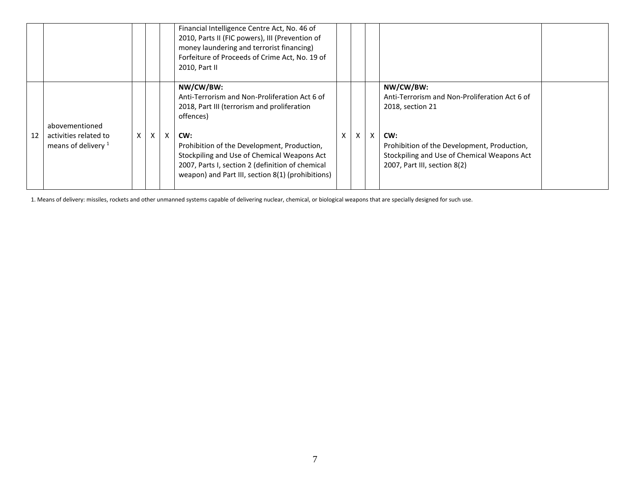|    |                                                |   |              |    | Financial Intelligence Centre Act, No. 46 of<br>2010, Parts II (FIC powers), III (Prevention of<br>money laundering and terrorist financing)<br>Forfeiture of Proceeds of Crime Act, No. 19 of<br>2010, Part II |   |   |   |                                                                                                                                   |  |
|----|------------------------------------------------|---|--------------|----|-----------------------------------------------------------------------------------------------------------------------------------------------------------------------------------------------------------------|---|---|---|-----------------------------------------------------------------------------------------------------------------------------------|--|
|    | abovementioned                                 |   |              |    | NW/CW/BW:<br>Anti-Terrorism and Non-Proliferation Act 6 of<br>2018, Part III (terrorism and proliferation<br>offences)                                                                                          |   |   |   | NW/CW/BW:<br>Anti-Terrorism and Non-Proliferation Act 6 of<br>2018, section 21                                                    |  |
| 12 | activities related to<br>means of delivery $1$ | X | $\mathsf{x}$ | X. | CW:<br>Prohibition of the Development, Production,<br>Stockpiling and Use of Chemical Weapons Act<br>2007, Parts I, section 2 (definition of chemical<br>weapon) and Part III, section 8(1) (prohibitions)      | X | X | X | CW:<br>Prohibition of the Development, Production,<br>Stockpiling and Use of Chemical Weapons Act<br>2007, Part III, section 8(2) |  |

1. Means of delivery: missiles, rockets and other unmanned systems capable of delivering nuclear, chemical, or biological weapons that are specially designed for such use.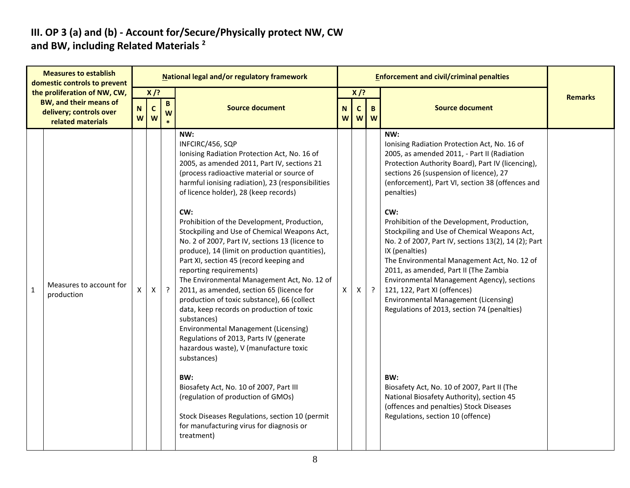#### **III. OP 3 (a) and (b) - Account for/Secure/Physically protect NW, CW and BW, including Related Materials <sup>2</sup>**

|              | <b>Measures to establish</b><br>domestic controls to prevent                                                  |                   |                  |                      | National legal and/or regulatory framework                                                                                                                                                                                                                                                                                                                                                                                                                                                                                                                                                                                                                                                                                                                                                                                                                                                                                                                                                                                                                                                                        |   |                                                  |         | <b>Enforcement and civil/criminal penalties</b>                                                                                                                                                                                                                                                                                                                                                                                                                                                                                                                                                                                                                                                                                                                                                                                                                                                      |                |
|--------------|---------------------------------------------------------------------------------------------------------------|-------------------|------------------|----------------------|-------------------------------------------------------------------------------------------------------------------------------------------------------------------------------------------------------------------------------------------------------------------------------------------------------------------------------------------------------------------------------------------------------------------------------------------------------------------------------------------------------------------------------------------------------------------------------------------------------------------------------------------------------------------------------------------------------------------------------------------------------------------------------------------------------------------------------------------------------------------------------------------------------------------------------------------------------------------------------------------------------------------------------------------------------------------------------------------------------------------|---|--------------------------------------------------|---------|------------------------------------------------------------------------------------------------------------------------------------------------------------------------------------------------------------------------------------------------------------------------------------------------------------------------------------------------------------------------------------------------------------------------------------------------------------------------------------------------------------------------------------------------------------------------------------------------------------------------------------------------------------------------------------------------------------------------------------------------------------------------------------------------------------------------------------------------------------------------------------------------------|----------------|
|              | the proliferation of NW, CW,<br><b>BW, and their means of</b><br>delivery; controls over<br>related materials | $\mathsf{N}$<br>W | $X$ /?<br>C<br>W | $\, {\bf B} \,$<br>W | <b>Source document</b>                                                                                                                                                                                                                                                                                                                                                                                                                                                                                                                                                                                                                                                                                                                                                                                                                                                                                                                                                                                                                                                                                            |   | $X$ /?<br>$\mathsf{C}$<br>N<br>B.<br>W<br>W<br>W |         | <b>Source document</b>                                                                                                                                                                                                                                                                                                                                                                                                                                                                                                                                                                                                                                                                                                                                                                                                                                                                               | <b>Remarks</b> |
| $\mathbf{1}$ | Measures to account for<br>production                                                                         | X                 | X                | $\cdot$              | NW:<br>INFCIRC/456, SQP<br>Ionising Radiation Protection Act, No. 16 of<br>2005, as amended 2011, Part IV, sections 21<br>(process radioactive material or source of<br>harmful ionising radiation), 23 (responsibilities<br>of licence holder), 28 (keep records)<br>CW:<br>Prohibition of the Development, Production,<br>Stockpiling and Use of Chemical Weapons Act,<br>No. 2 of 2007, Part IV, sections 13 (licence to<br>produce), 14 (limit on production quantities),<br>Part XI, section 45 (record keeping and<br>reporting requirements)<br>The Environmental Management Act, No. 12 of<br>2011, as amended, section 65 (licence for<br>production of toxic substance), 66 (collect<br>data, keep records on production of toxic<br>substances)<br><b>Environmental Management (Licensing)</b><br>Regulations of 2013, Parts IV (generate<br>hazardous waste), V (manufacture toxic<br>substances)<br>BW:<br>Biosafety Act, No. 10 of 2007, Part III<br>(regulation of production of GMOs)<br>Stock Diseases Regulations, section 10 (permit<br>for manufacturing virus for diagnosis or<br>treatment) | X | X                                                | $\cdot$ | NW:<br>Ionising Radiation Protection Act, No. 16 of<br>2005, as amended 2011, - Part II (Radiation<br>Protection Authority Board), Part IV (licencing),<br>sections 26 (suspension of licence), 27<br>(enforcement), Part VI, section 38 (offences and<br>penalties)<br>CW:<br>Prohibition of the Development, Production,<br>Stockpiling and Use of Chemical Weapons Act,<br>No. 2 of 2007, Part IV, sections 13(2), 14 (2); Part<br>IX (penalties)<br>The Environmental Management Act, No. 12 of<br>2011, as amended, Part II (The Zambia<br>Environmental Management Agency), sections<br>121, 122, Part XI (offences)<br>Environmental Management (Licensing)<br>Regulations of 2013, section 74 (penalties)<br>BW:<br>Biosafety Act, No. 10 of 2007, Part II (The<br>National Biosafety Authority), section 45<br>(offences and penalties) Stock Diseases<br>Regulations, section 10 (offence) |                |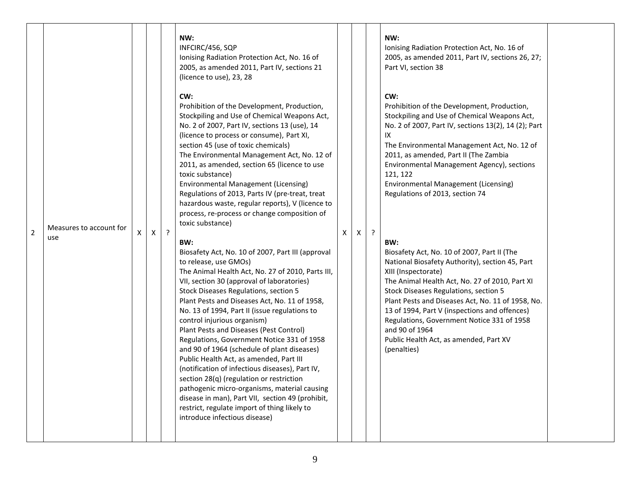|                |                         |    |   |         | NW:<br>INFCIRC/456, SQP<br>Ionising Radiation Protection Act, No. 16 of<br>2005, as amended 2011, Part IV, sections 21<br>(licence to use), 23, 28<br>CW:                                                                                                                                                                                                                                                                                                                                                                                                                                                                                                                                                                                                                                                                      |   |   |         | NW:<br>Ionising Radiation Protection Act, No. 16 of<br>2005, as amended 2011, Part IV, sections 26, 27;<br>Part VI, section 38<br>CW:                                                                                                                                                                                                                                                                                                           |  |
|----------------|-------------------------|----|---|---------|--------------------------------------------------------------------------------------------------------------------------------------------------------------------------------------------------------------------------------------------------------------------------------------------------------------------------------------------------------------------------------------------------------------------------------------------------------------------------------------------------------------------------------------------------------------------------------------------------------------------------------------------------------------------------------------------------------------------------------------------------------------------------------------------------------------------------------|---|---|---------|-------------------------------------------------------------------------------------------------------------------------------------------------------------------------------------------------------------------------------------------------------------------------------------------------------------------------------------------------------------------------------------------------------------------------------------------------|--|
|                | Measures to account for |    |   |         | Prohibition of the Development, Production,<br>Stockpiling and Use of Chemical Weapons Act,<br>No. 2 of 2007, Part IV, sections 13 (use), 14<br>(licence to process or consume), Part XI,<br>section 45 (use of toxic chemicals)<br>The Environmental Management Act, No. 12 of<br>2011, as amended, section 65 (licence to use<br>toxic substance)<br>Environmental Management (Licensing)<br>Regulations of 2013, Parts IV (pre-treat, treat<br>hazardous waste, regular reports), V (licence to<br>process, re-process or change composition of<br>toxic substance)                                                                                                                                                                                                                                                         |   |   |         | Prohibition of the Development, Production,<br>Stockpiling and Use of Chemical Weapons Act,<br>No. 2 of 2007, Part IV, sections 13(2), 14 (2); Part<br>IX<br>The Environmental Management Act, No. 12 of<br>2011, as amended, Part II (The Zambia<br>Environmental Management Agency), sections<br>121, 122<br>Environmental Management (Licensing)<br>Regulations of 2013, section 74                                                          |  |
| $\overline{2}$ | use                     | X. | Χ | $\cdot$ | BW:                                                                                                                                                                                                                                                                                                                                                                                                                                                                                                                                                                                                                                                                                                                                                                                                                            | X | Χ | $\cdot$ | BW:                                                                                                                                                                                                                                                                                                                                                                                                                                             |  |
|                |                         |    |   |         | Biosafety Act, No. 10 of 2007, Part III (approval<br>to release, use GMOs)<br>The Animal Health Act, No. 27 of 2010, Parts III,<br>VII, section 30 (approval of laboratories)<br>Stock Diseases Regulations, section 5<br>Plant Pests and Diseases Act, No. 11 of 1958,<br>No. 13 of 1994, Part II (issue regulations to<br>control injurious organism)<br>Plant Pests and Diseases (Pest Control)<br>Regulations, Government Notice 331 of 1958<br>and 90 of 1964 (schedule of plant diseases)<br>Public Health Act, as amended, Part III<br>(notification of infectious diseases), Part IV,<br>section 28(q) (regulation or restriction<br>pathogenic micro-organisms, material causing<br>disease in man), Part VII, section 49 (prohibit,<br>restrict, regulate import of thing likely to<br>introduce infectious disease) |   |   |         | Biosafety Act, No. 10 of 2007, Part II (The<br>National Biosafety Authority), section 45, Part<br>XIII (Inspectorate)<br>The Animal Health Act, No. 27 of 2010, Part XI<br>Stock Diseases Regulations, section 5<br>Plant Pests and Diseases Act, No. 11 of 1958, No.<br>13 of 1994, Part V (inspections and offences)<br>Regulations, Government Notice 331 of 1958<br>and 90 of 1964<br>Public Health Act, as amended, Part XV<br>(penalties) |  |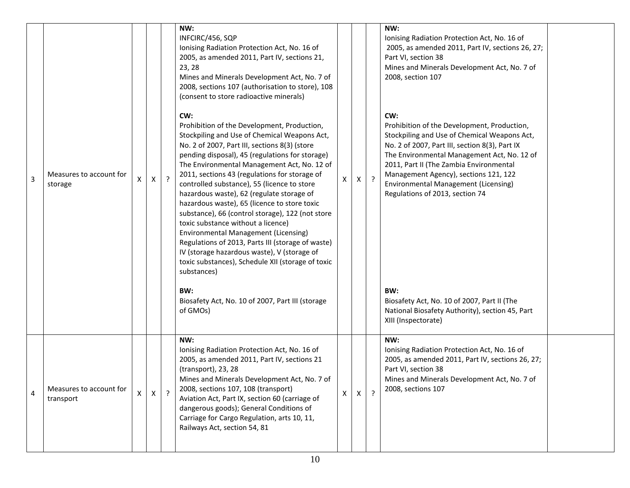| 3 | Measures to account for<br>storage   | X | X | $\overline{?}$ | NW:<br>INFCIRC/456, SQP<br>Ionising Radiation Protection Act, No. 16 of<br>2005, as amended 2011, Part IV, sections 21,<br>23, 28<br>Mines and Minerals Development Act, No. 7 of<br>2008, sections 107 (authorisation to store), 108<br>(consent to store radioactive minerals)<br>CW:<br>Prohibition of the Development, Production,<br>Stockpiling and Use of Chemical Weapons Act,<br>No. 2 of 2007, Part III, sections 8(3) (store<br>pending disposal), 45 (regulations for storage)<br>The Environmental Management Act, No. 12 of<br>2011, sections 43 (regulations for storage of<br>controlled substance), 55 (licence to store<br>hazardous waste), 62 (regulate storage of<br>hazardous waste), 65 (licence to store toxic<br>substance), 66 (control storage), 122 (not store<br>toxic substance without a licence)<br>Environmental Management (Licensing)<br>Regulations of 2013, Parts III (storage of waste)<br>IV (storage hazardous waste), V (storage of<br>toxic substances), Schedule XII (storage of toxic<br>substances)<br>BW:<br>Biosafety Act, No. 10 of 2007, Part III (storage<br>of GMOs) | $\mathsf{X}$ | X | $\cdot$        | NW:<br>Ionising Radiation Protection Act, No. 16 of<br>2005, as amended 2011, Part IV, sections 26, 27;<br>Part VI, section 38<br>Mines and Minerals Development Act, No. 7 of<br>2008, section 107<br>CW:<br>Prohibition of the Development, Production,<br>Stockpiling and Use of Chemical Weapons Act,<br>No. 2 of 2007, Part III, section 8(3), Part IX<br>The Environmental Management Act, No. 12 of<br>2011, Part II (The Zambia Environmental<br>Management Agency), sections 121, 122<br>Environmental Management (Licensing)<br>Regulations of 2013, section 74<br>BW:<br>Biosafety Act, No. 10 of 2007, Part II (The<br>National Biosafety Authority), section 45, Part<br>XIII (Inspectorate) |  |
|---|--------------------------------------|---|---|----------------|-------------------------------------------------------------------------------------------------------------------------------------------------------------------------------------------------------------------------------------------------------------------------------------------------------------------------------------------------------------------------------------------------------------------------------------------------------------------------------------------------------------------------------------------------------------------------------------------------------------------------------------------------------------------------------------------------------------------------------------------------------------------------------------------------------------------------------------------------------------------------------------------------------------------------------------------------------------------------------------------------------------------------------------------------------------------------------------------------------------------------|--------------|---|----------------|-----------------------------------------------------------------------------------------------------------------------------------------------------------------------------------------------------------------------------------------------------------------------------------------------------------------------------------------------------------------------------------------------------------------------------------------------------------------------------------------------------------------------------------------------------------------------------------------------------------------------------------------------------------------------------------------------------------|--|
| 4 | Measures to account for<br>transport | X | x | $\overline{z}$ | NW:<br>Ionising Radiation Protection Act, No. 16 of<br>2005, as amended 2011, Part IV, sections 21<br>(transport), 23, 28<br>Mines and Minerals Development Act, No. 7 of<br>2008, sections 107, 108 (transport)<br>Aviation Act, Part IX, section 60 (carriage of<br>dangerous goods); General Conditions of<br>Carriage for Cargo Regulation, arts 10, 11,<br>Railways Act, section 54, 81                                                                                                                                                                                                                                                                                                                                                                                                                                                                                                                                                                                                                                                                                                                            | $\mathsf{X}$ | X | $\overline{?}$ | NW:<br>Ionising Radiation Protection Act, No. 16 of<br>2005, as amended 2011, Part IV, sections 26, 27;<br>Part VI, section 38<br>Mines and Minerals Development Act, No. 7 of<br>2008, sections 107                                                                                                                                                                                                                                                                                                                                                                                                                                                                                                      |  |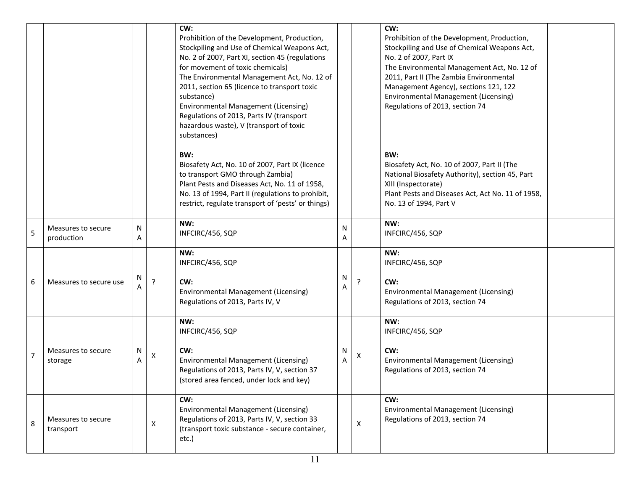|                |                                  |        |    | CW:<br>Prohibition of the Development, Production,<br>Stockpiling and Use of Chemical Weapons Act,<br>No. 2 of 2007, Part XI, section 45 (regulations<br>for movement of toxic chemicals)<br>The Environmental Management Act, No. 12 of<br>2011, section 65 (licence to transport toxic<br>substance)<br><b>Environmental Management (Licensing)</b><br>Regulations of 2013, Parts IV (transport<br>hazardous waste), V (transport of toxic<br>substances) |        |   | CW:<br>Prohibition of the Development, Production,<br>Stockpiling and Use of Chemical Weapons Act,<br>No. 2 of 2007, Part IX<br>The Environmental Management Act, No. 12 of<br>2011, Part II (The Zambia Environmental<br>Management Agency), sections 121, 122<br>Environmental Management (Licensing)<br>Regulations of 2013, section 74 |
|----------------|----------------------------------|--------|----|-------------------------------------------------------------------------------------------------------------------------------------------------------------------------------------------------------------------------------------------------------------------------------------------------------------------------------------------------------------------------------------------------------------------------------------------------------------|--------|---|--------------------------------------------------------------------------------------------------------------------------------------------------------------------------------------------------------------------------------------------------------------------------------------------------------------------------------------------|
|                |                                  |        |    | BW:<br>Biosafety Act, No. 10 of 2007, Part IX (licence<br>to transport GMO through Zambia)<br>Plant Pests and Diseases Act, No. 11 of 1958,<br>No. 13 of 1994, Part II (regulations to prohibit,<br>restrict, regulate transport of 'pests' or things)                                                                                                                                                                                                      |        |   | BW:<br>Biosafety Act, No. 10 of 2007, Part II (The<br>National Biosafety Authority), section 45, Part<br>XIII (Inspectorate)<br>Plant Pests and Diseases Act, Act No. 11 of 1958,<br>No. 13 of 1994, Part V                                                                                                                                |
| 5              | Measures to secure<br>production | Ν<br>Α |    | NW:<br>INFCIRC/456, SQP                                                                                                                                                                                                                                                                                                                                                                                                                                     | N<br>Α |   | NW:<br>INFCIRC/456, SQP                                                                                                                                                                                                                                                                                                                    |
| 6              | Measures to secure use           | Ν      | P. | NW:<br>INFCIRC/456, SQP<br>CW:<br><b>Environmental Management (Licensing)</b><br>Regulations of 2013, Parts IV, V                                                                                                                                                                                                                                                                                                                                           | N<br>Α |   | NW:<br>INFCIRC/456, SQP<br>CW:<br>Environmental Management (Licensing)<br>Regulations of 2013, section 74                                                                                                                                                                                                                                  |
| $\overline{7}$ | Measures to secure<br>storage    | N<br>Α | Х  | NW:<br>INFCIRC/456, SQP<br>CW:<br><b>Environmental Management (Licensing)</b><br>Regulations of 2013, Parts IV, V, section 37<br>(stored area fenced, under lock and key)                                                                                                                                                                                                                                                                                   | N<br>Α | X | NW:<br>INFCIRC/456, SQP<br>CW:<br><b>Environmental Management (Licensing)</b><br>Regulations of 2013, section 74                                                                                                                                                                                                                           |
| 8              | Measures to secure<br>transport  |        | X  | CW:<br><b>Environmental Management (Licensing)</b><br>Regulations of 2013, Parts IV, V, section 33<br>(transport toxic substance - secure container,<br>etc.)                                                                                                                                                                                                                                                                                               |        | X | CW:<br>Environmental Management (Licensing)<br>Regulations of 2013, section 74                                                                                                                                                                                                                                                             |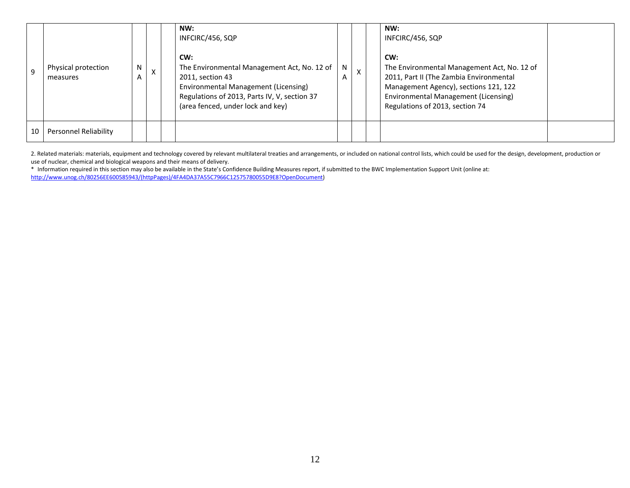| $\mathbf{q}$ | Physical protection<br>measures | N | $\sim$ | NW:<br>INFCIRC/456, SQP<br>CW:<br>The Environmental Management Act, No. 12 of<br>2011, section 43<br>Environmental Management (Licensing)<br>Regulations of 2013, Parts IV, V, section 37<br>(area fenced, under lock and key) | N | $\mathsf{x}$ | NW:<br>INFCIRC/456, SQP<br>CW:<br>The Environmental Management Act, No. 12 of<br>2011, Part II (The Zambia Environmental<br>Management Agency), sections 121, 122<br>Environmental Management (Licensing)<br>Regulations of 2013, section 74 |  |
|--------------|---------------------------------|---|--------|--------------------------------------------------------------------------------------------------------------------------------------------------------------------------------------------------------------------------------|---|--------------|----------------------------------------------------------------------------------------------------------------------------------------------------------------------------------------------------------------------------------------------|--|
| 10           | Personnel Reliability           |   |        |                                                                                                                                                                                                                                |   |              |                                                                                                                                                                                                                                              |  |

2. Related materials: materials, equipment and technology covered by relevant multilateral treaties and arrangements, or included on national control lists, which could be used for the design, development, production or use of nuclear, chemical and biological weapons and their means of delivery.

\* Information required in this section may also be available in the State's Confidence Building Measures report, if submitted to the BWC Implementation Support Unit (online at: [http://www.unog.ch/80256EE600585943/\(httpPages\)/4FA4DA37A55C7966C12575780055D9E8?OpenDocument\)](http://www.unog.ch/80256EE600585943/(httpPages)/4FA4DA37A55C7966C12575780055D9E8?OpenDocument)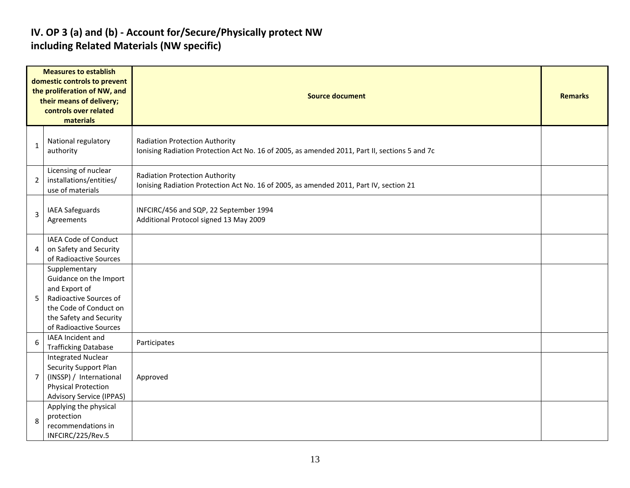#### **IV. OP 3 (a) and (b) - Account for/Secure/Physically protect NW including Related Materials (NW specific)**

| <b>Measures to establish</b><br>domestic controls to prevent<br>the proliferation of NW, and<br>their means of delivery;<br>controls over related<br>materials |                                                                                                                                                                   | <b>Source document</b>                                                                                                          |  |  |  |  |  |  |
|----------------------------------------------------------------------------------------------------------------------------------------------------------------|-------------------------------------------------------------------------------------------------------------------------------------------------------------------|---------------------------------------------------------------------------------------------------------------------------------|--|--|--|--|--|--|
| 1                                                                                                                                                              | National regulatory<br>authority                                                                                                                                  | Radiation Protection Authority<br>Ionising Radiation Protection Act No. 16 of 2005, as amended 2011, Part II, sections 5 and 7c |  |  |  |  |  |  |
| $\overline{2}$                                                                                                                                                 | Licensing of nuclear<br>installations/entities/<br>use of materials                                                                                               | <b>Radiation Protection Authority</b><br>Ionising Radiation Protection Act No. 16 of 2005, as amended 2011, Part IV, section 21 |  |  |  |  |  |  |
| 3                                                                                                                                                              | IAEA Safeguards<br>Agreements                                                                                                                                     | INFCIRC/456 and SQP, 22 September 1994<br>Additional Protocol signed 13 May 2009                                                |  |  |  |  |  |  |
| 4                                                                                                                                                              | <b>IAEA Code of Conduct</b><br>on Safety and Security<br>of Radioactive Sources                                                                                   |                                                                                                                                 |  |  |  |  |  |  |
| 5                                                                                                                                                              | Supplementary<br>Guidance on the Import<br>and Export of<br>Radioactive Sources of<br>the Code of Conduct on<br>the Safety and Security<br>of Radioactive Sources |                                                                                                                                 |  |  |  |  |  |  |
| 6                                                                                                                                                              | IAEA Incident and<br><b>Trafficking Database</b>                                                                                                                  | Participates                                                                                                                    |  |  |  |  |  |  |
| $\overline{7}$                                                                                                                                                 | <b>Integrated Nuclear</b><br><b>Security Support Plan</b><br>(INSSP) / International<br><b>Physical Protection</b><br><b>Advisory Service (IPPAS)</b>             | Approved                                                                                                                        |  |  |  |  |  |  |
| 8                                                                                                                                                              | Applying the physical<br>protection<br>recommendations in<br>INFCIRC/225/Rev.5                                                                                    |                                                                                                                                 |  |  |  |  |  |  |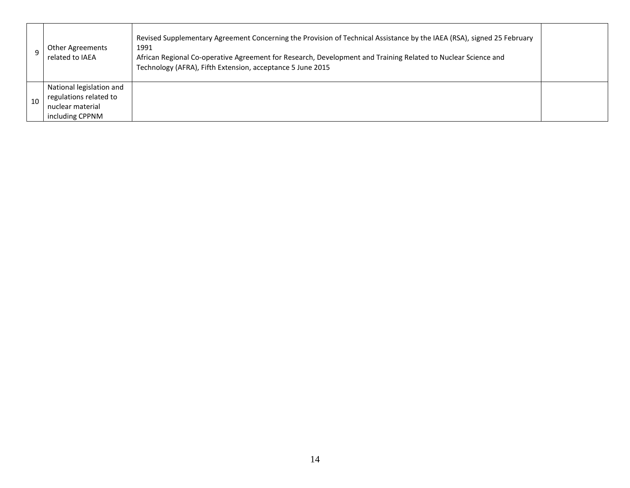|    | <b>Other Agreements</b><br>related to IAEA                                                | Revised Supplementary Agreement Concerning the Provision of Technical Assistance by the IAEA (RSA), signed 25 February<br>1991<br>African Regional Co-operative Agreement for Research, Development and Training Related to Nuclear Science and<br>Technology (AFRA), Fifth Extension, acceptance 5 June 2015 |  |
|----|-------------------------------------------------------------------------------------------|---------------------------------------------------------------------------------------------------------------------------------------------------------------------------------------------------------------------------------------------------------------------------------------------------------------|--|
| 10 | National legislation and<br>regulations related to<br>nuclear material<br>including CPPNM |                                                                                                                                                                                                                                                                                                               |  |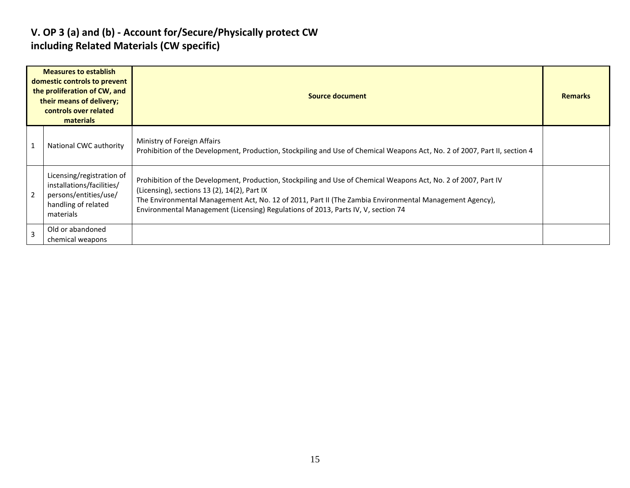#### **V. OP 3 (a) and (b) - Account for/Secure/Physically protect CW including Related Materials (CW specific)**

| <b>Measures to establish</b><br>domestic controls to prevent<br>the proliferation of CW, and<br>their means of delivery;<br>controls over related<br>materials |                                                                                                                     | <b>Source document</b>                                                                                                                                                                                                                                                                                                                                          | <b>Remarks</b> |
|----------------------------------------------------------------------------------------------------------------------------------------------------------------|---------------------------------------------------------------------------------------------------------------------|-----------------------------------------------------------------------------------------------------------------------------------------------------------------------------------------------------------------------------------------------------------------------------------------------------------------------------------------------------------------|----------------|
| $\mathbf{1}$                                                                                                                                                   | National CWC authority                                                                                              | Ministry of Foreign Affairs<br>Prohibition of the Development, Production, Stockpiling and Use of Chemical Weapons Act, No. 2 of 2007, Part II, section 4                                                                                                                                                                                                       |                |
| $\overline{2}$                                                                                                                                                 | Licensing/registration of<br>installations/facilities/<br>persons/entities/use/<br>handling of related<br>materials | Prohibition of the Development, Production, Stockpiling and Use of Chemical Weapons Act, No. 2 of 2007, Part IV<br>(Licensing), sections 13 (2), 14(2), Part IX<br>The Environmental Management Act, No. 12 of 2011, Part II (The Zambia Environmental Management Agency),<br>Environmental Management (Licensing) Regulations of 2013, Parts IV, V, section 74 |                |
| $\overline{3}$                                                                                                                                                 | Old or abandoned<br>chemical weapons                                                                                |                                                                                                                                                                                                                                                                                                                                                                 |                |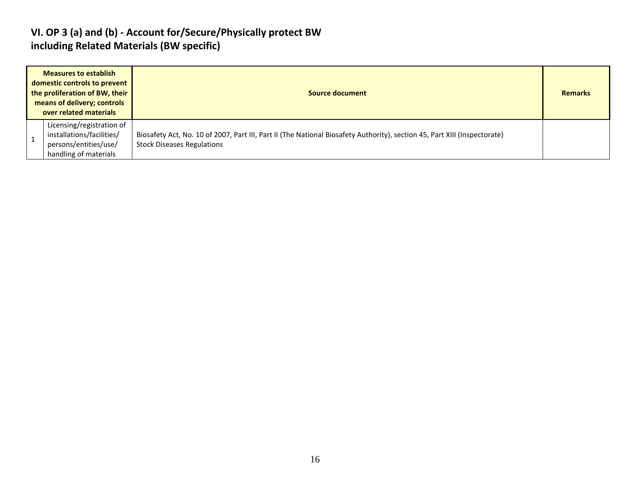#### **VI. OP 3 (a) and (b) - Account for/Secure/Physically protect BW including Related Materials (BW specific)**

| <b>Measures to establish</b><br>domestic controls to prevent<br>the proliferation of BW, their<br>means of delivery; controls<br>over related materials | Source document                                                                                                                                                | <b>Remarks</b> |
|---------------------------------------------------------------------------------------------------------------------------------------------------------|----------------------------------------------------------------------------------------------------------------------------------------------------------------|----------------|
| Licensing/registration of<br>installations/facilities/<br>persons/entities/use/<br>handling of materials                                                | Biosafety Act, No. 10 of 2007, Part III, Part II (The National Biosafety Authority), section 45, Part XIII (Inspectorate)<br><b>Stock Diseases Regulations</b> |                |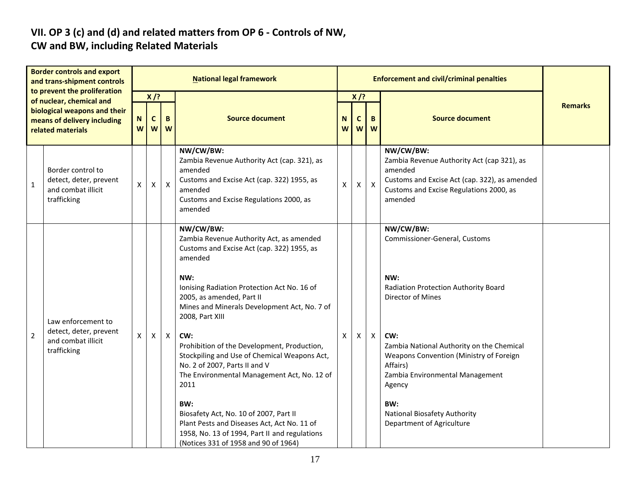# **VII. OP 3 (c) and (d) and related matters from OP 6 - Controls of NW,**

### **CW and BW, including Related Materials**

| <b>Border controls and export</b><br>and trans-shipment controls<br>to prevent the proliferation<br>of nuclear, chemical and<br>biological weapons and their<br>means of delivery including<br>related materials |                                                                                   | <b>National legal framework</b>                |                |              |                                                                                                                                                                                                                                                                                                                                                                                                                                                                                                                                                                                                                                                             |        |                  | <b>Enforcement and civil/criminal penalties</b> |                                                                                                                                                                                                                                                                                                                                                   |                |
|------------------------------------------------------------------------------------------------------------------------------------------------------------------------------------------------------------------|-----------------------------------------------------------------------------------|------------------------------------------------|----------------|--------------|-------------------------------------------------------------------------------------------------------------------------------------------------------------------------------------------------------------------------------------------------------------------------------------------------------------------------------------------------------------------------------------------------------------------------------------------------------------------------------------------------------------------------------------------------------------------------------------------------------------------------------------------------------------|--------|------------------|-------------------------------------------------|---------------------------------------------------------------------------------------------------------------------------------------------------------------------------------------------------------------------------------------------------------------------------------------------------------------------------------------------------|----------------|
|                                                                                                                                                                                                                  |                                                                                   | $X$ /?<br>N<br>$\mathbf c$<br>B<br>W<br>W<br>W |                |              | <b>Source document</b>                                                                                                                                                                                                                                                                                                                                                                                                                                                                                                                                                                                                                                      | N<br>W | $X$ /?<br>C<br>W | B<br>W                                          | <b>Source document</b>                                                                                                                                                                                                                                                                                                                            | <b>Remarks</b> |
| $\mathbf{1}$                                                                                                                                                                                                     | Border control to<br>detect, deter, prevent<br>and combat illicit<br>trafficking  | X                                              | $\pmb{\times}$ | $\mathsf{X}$ | NW/CW/BW:<br>Zambia Revenue Authority Act (cap. 321), as<br>amended<br>Customs and Excise Act (cap. 322) 1955, as<br>amended<br>Customs and Excise Regulations 2000, as<br>amended                                                                                                                                                                                                                                                                                                                                                                                                                                                                          | X      | X                | $\mathsf{X}$                                    | NW/CW/BW:<br>Zambia Revenue Authority Act (cap 321), as<br>amended<br>Customs and Excise Act (cap. 322), as amended<br>Customs and Excise Regulations 2000, as<br>amended                                                                                                                                                                         |                |
| $\overline{2}$                                                                                                                                                                                                   | Law enforcement to<br>detect, deter, prevent<br>and combat illicit<br>trafficking | X                                              | X              | $\mathsf{X}$ | NW/CW/BW:<br>Zambia Revenue Authority Act, as amended<br>Customs and Excise Act (cap. 322) 1955, as<br>amended<br>NW:<br>Ionising Radiation Protection Act No. 16 of<br>2005, as amended, Part II<br>Mines and Minerals Development Act, No. 7 of<br>2008, Part XIII<br>CW:<br>Prohibition of the Development, Production,<br>Stockpiling and Use of Chemical Weapons Act,<br>No. 2 of 2007, Parts II and V<br>The Environmental Management Act, No. 12 of<br>2011<br>BW:<br>Biosafety Act, No. 10 of 2007, Part II<br>Plant Pests and Diseases Act, Act No. 11 of<br>1958, No. 13 of 1994, Part II and regulations<br>(Notices 331 of 1958 and 90 of 1964) | X      | Χ                | $\pmb{\times}$                                  | NW/CW/BW:<br>Commissioner-General, Customs<br>NW:<br>Radiation Protection Authority Board<br>Director of Mines<br>CW:<br>Zambia National Authority on the Chemical<br>Weapons Convention (Ministry of Foreign<br>Affairs)<br>Zambia Environmental Management<br>Agency<br>BW:<br><b>National Biosafety Authority</b><br>Department of Agriculture |                |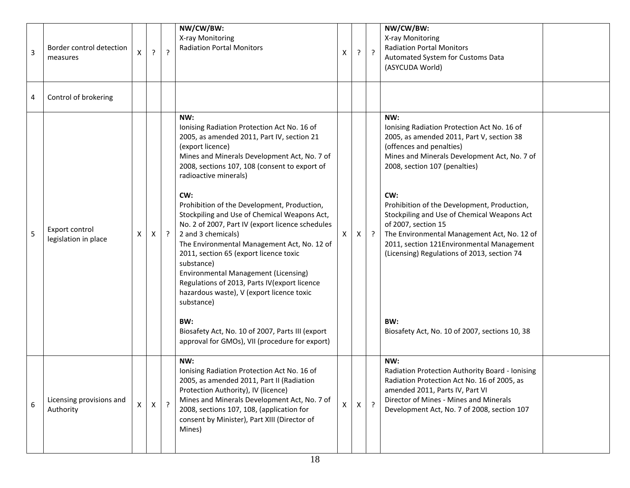| $\overline{3}$ | Border control detection<br>measures   | X            | ? | $\cdot$    | NW/CW/BW:<br>X-ray Monitoring<br><b>Radiation Portal Monitors</b>                                                                                                                                                                                                                                                                                                                                                                                                                                                                                                                                                                                                                                                                                                                                     | x  | ? | $\cdot$        | NW/CW/BW:<br>X-ray Monitoring<br><b>Radiation Portal Monitors</b><br>Automated System for Customs Data<br>(ASYCUDA World)                                                                                                                                                                                                                                                                                                                                                                                                                    |
|----------------|----------------------------------------|--------------|---|------------|-------------------------------------------------------------------------------------------------------------------------------------------------------------------------------------------------------------------------------------------------------------------------------------------------------------------------------------------------------------------------------------------------------------------------------------------------------------------------------------------------------------------------------------------------------------------------------------------------------------------------------------------------------------------------------------------------------------------------------------------------------------------------------------------------------|----|---|----------------|----------------------------------------------------------------------------------------------------------------------------------------------------------------------------------------------------------------------------------------------------------------------------------------------------------------------------------------------------------------------------------------------------------------------------------------------------------------------------------------------------------------------------------------------|
| 4              | Control of brokering                   |              |   |            |                                                                                                                                                                                                                                                                                                                                                                                                                                                                                                                                                                                                                                                                                                                                                                                                       |    |   |                |                                                                                                                                                                                                                                                                                                                                                                                                                                                                                                                                              |
| 5              | Export control<br>legislation in place | Χ            | X | $\ddot{?}$ | NW:<br>Ionising Radiation Protection Act No. 16 of<br>2005, as amended 2011, Part IV, section 21<br>(export licence)<br>Mines and Minerals Development Act, No. 7 of<br>2008, sections 107, 108 (consent to export of<br>radioactive minerals)<br>CW:<br>Prohibition of the Development, Production,<br>Stockpiling and Use of Chemical Weapons Act,<br>No. 2 of 2007, Part IV (export licence schedules<br>2 and 3 chemicals)<br>The Environmental Management Act, No. 12 of<br>2011, section 65 (export licence toxic<br>substance)<br>Environmental Management (Licensing)<br>Regulations of 2013, Parts IV(export licence<br>hazardous waste), V (export licence toxic<br>substance)<br>BW:<br>Biosafety Act, No. 10 of 2007, Parts III (export<br>approval for GMOs), VII (procedure for export) | X. | X | $\cdot$ ?      | NW:<br>Ionising Radiation Protection Act No. 16 of<br>2005, as amended 2011, Part V, section 38<br>(offences and penalties)<br>Mines and Minerals Development Act, No. 7 of<br>2008, section 107 (penalties)<br>CW:<br>Prohibition of the Development, Production,<br>Stockpiling and Use of Chemical Weapons Act<br>of 2007, section 15<br>The Environmental Management Act, No. 12 of<br>2011, section 121Environmental Management<br>(Licensing) Regulations of 2013, section 74<br>BW:<br>Biosafety Act, No. 10 of 2007, sections 10, 38 |
| 6              | Licensing provisions and<br>Authority  | $\mathsf{X}$ | X | $\cdot$    | NW:<br>Ionising Radiation Protection Act No. 16 of<br>2005, as amended 2011, Part II (Radiation<br>Protection Authority), IV (licence)<br>Mines and Minerals Development Act, No. 7 of<br>2008, sections 107, 108, (application for<br>consent by Minister), Part XIII (Director of<br>Mines)                                                                                                                                                                                                                                                                                                                                                                                                                                                                                                         | X  | X | $\overline{?}$ | NW:<br>Radiation Protection Authority Board - Ionising<br>Radiation Protection Act No. 16 of 2005, as<br>amended 2011, Parts IV, Part VI<br>Director of Mines - Mines and Minerals<br>Development Act, No. 7 of 2008, section 107                                                                                                                                                                                                                                                                                                            |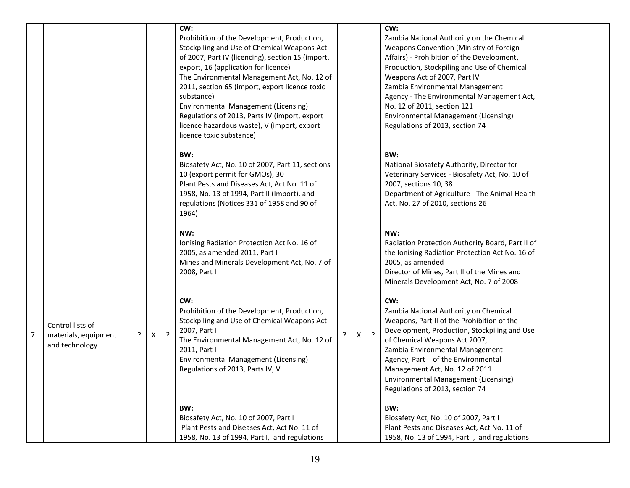|                |                                                            |   |   |         | CW:<br>Prohibition of the Development, Production,<br>Stockpiling and Use of Chemical Weapons Act<br>of 2007, Part IV (licencing), section 15 (import,<br>export, 16 (application for licence)<br>The Environmental Management Act, No. 12 of<br>2011, section 65 (import, export licence toxic<br>substance)<br>Environmental Management (Licensing)<br>Regulations of 2013, Parts IV (import, export<br>licence hazardous waste), V (import, export<br>licence toxic substance) |   |         | CW:<br>Zambia National Authority on the Chemical<br>Weapons Convention (Ministry of Foreign<br>Affairs) - Prohibition of the Development,<br>Production, Stockpiling and Use of Chemical<br>Weapons Act of 2007, Part IV<br>Zambia Environmental Management<br>Agency - The Environmental Management Act,<br>No. 12 of 2011, section 121<br>Environmental Management (Licensing)<br>Regulations of 2013, section 74 |  |
|----------------|------------------------------------------------------------|---|---|---------|-----------------------------------------------------------------------------------------------------------------------------------------------------------------------------------------------------------------------------------------------------------------------------------------------------------------------------------------------------------------------------------------------------------------------------------------------------------------------------------|---|---------|---------------------------------------------------------------------------------------------------------------------------------------------------------------------------------------------------------------------------------------------------------------------------------------------------------------------------------------------------------------------------------------------------------------------|--|
|                |                                                            |   |   |         | BW:<br>Biosafety Act, No. 10 of 2007, Part 11, sections<br>10 (export permit for GMOs), 30<br>Plant Pests and Diseases Act, Act No. 11 of<br>1958, No. 13 of 1994, Part II (Import), and<br>regulations (Notices 331 of 1958 and 90 of<br>1964)                                                                                                                                                                                                                                   |   |         | BW:<br>National Biosafety Authority, Director for<br>Veterinary Services - Biosafety Act, No. 10 of<br>2007, sections 10, 38<br>Department of Agriculture - The Animal Health<br>Act, No. 27 of 2010, sections 26                                                                                                                                                                                                   |  |
|                |                                                            |   |   |         | NW:<br>Ionising Radiation Protection Act No. 16 of<br>2005, as amended 2011, Part I<br>Mines and Minerals Development Act, No. 7 of<br>2008, Part I<br>CW:                                                                                                                                                                                                                                                                                                                        |   |         | NW:<br>Radiation Protection Authority Board, Part II of<br>the Ionising Radiation Protection Act No. 16 of<br>2005, as amended<br>Director of Mines, Part II of the Mines and<br>Minerals Development Act, No. 7 of 2008<br>CW:                                                                                                                                                                                     |  |
| $\overline{7}$ | Control lists of<br>materials, equipment<br>and technology | ? | Χ | $\cdot$ | Prohibition of the Development, Production,<br>Stockpiling and Use of Chemical Weapons Act<br>2007, Part I<br>The Environmental Management Act, No. 12 of<br>2011, Part I<br><b>Environmental Management (Licensing)</b><br>Regulations of 2013, Parts IV, V                                                                                                                                                                                                                      | X | $\cdot$ | Zambia National Authority on Chemical<br>Weapons, Part II of the Prohibition of the<br>Development, Production, Stockpiling and Use<br>of Chemical Weapons Act 2007,<br>Zambia Environmental Management<br>Agency, Part II of the Environmental<br>Management Act, No. 12 of 2011<br><b>Environmental Management (Licensing)</b><br>Regulations of 2013, section 74                                                 |  |
|                |                                                            |   |   |         | BW:<br>Biosafety Act, No. 10 of 2007, Part I<br>Plant Pests and Diseases Act, Act No. 11 of<br>1958, No. 13 of 1994, Part I, and regulations                                                                                                                                                                                                                                                                                                                                      |   |         | BW:<br>Biosafety Act, No. 10 of 2007, Part I<br>Plant Pests and Diseases Act, Act No. 11 of<br>1958, No. 13 of 1994, Part I, and regulations                                                                                                                                                                                                                                                                        |  |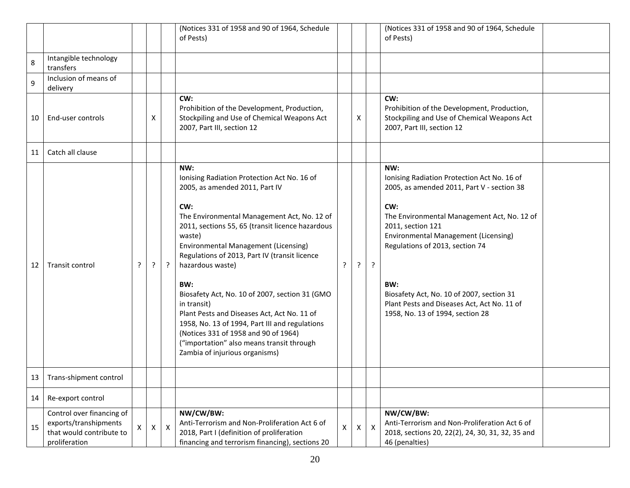|    |                                                                                                 |   |              |                           | (Notices 331 of 1958 and 90 of 1964, Schedule<br>of Pests)                                                                                                                                                                                                                                                                                                                                                                                                                                                                                                                                                                   |   |   |                           | (Notices 331 of 1958 and 90 of 1964, Schedule<br>of Pests)                                                                                                                                                                                                                                                                                                                                           |  |
|----|-------------------------------------------------------------------------------------------------|---|--------------|---------------------------|------------------------------------------------------------------------------------------------------------------------------------------------------------------------------------------------------------------------------------------------------------------------------------------------------------------------------------------------------------------------------------------------------------------------------------------------------------------------------------------------------------------------------------------------------------------------------------------------------------------------------|---|---|---------------------------|------------------------------------------------------------------------------------------------------------------------------------------------------------------------------------------------------------------------------------------------------------------------------------------------------------------------------------------------------------------------------------------------------|--|
| 8  | Intangible technology<br>transfers                                                              |   |              |                           |                                                                                                                                                                                                                                                                                                                                                                                                                                                                                                                                                                                                                              |   |   |                           |                                                                                                                                                                                                                                                                                                                                                                                                      |  |
| 9  | Inclusion of means of<br>delivery                                                               |   |              |                           |                                                                                                                                                                                                                                                                                                                                                                                                                                                                                                                                                                                                                              |   |   |                           |                                                                                                                                                                                                                                                                                                                                                                                                      |  |
| 10 | End-user controls                                                                               |   | X            |                           | CW:<br>Prohibition of the Development, Production,<br>Stockpiling and Use of Chemical Weapons Act<br>2007, Part III, section 12                                                                                                                                                                                                                                                                                                                                                                                                                                                                                              |   | x |                           | CW:<br>Prohibition of the Development, Production,<br>Stockpiling and Use of Chemical Weapons Act<br>2007, Part III, section 12                                                                                                                                                                                                                                                                      |  |
| 11 | Catch all clause                                                                                |   |              |                           |                                                                                                                                                                                                                                                                                                                                                                                                                                                                                                                                                                                                                              |   |   |                           |                                                                                                                                                                                                                                                                                                                                                                                                      |  |
| 12 | Transit control                                                                                 | ? | $\cdot$      | ?                         | NW:<br>Ionising Radiation Protection Act No. 16 of<br>2005, as amended 2011, Part IV<br>CW:<br>The Environmental Management Act, No. 12 of<br>2011, sections 55, 65 (transit licence hazardous<br>waste)<br><b>Environmental Management (Licensing)</b><br>Regulations of 2013, Part IV (transit licence<br>hazardous waste)<br>BW:<br>Biosafety Act, No. 10 of 2007, section 31 (GMO<br>in transit)<br>Plant Pests and Diseases Act, Act No. 11 of<br>1958, No. 13 of 1994, Part III and regulations<br>(Notices 331 of 1958 and 90 of 1964)<br>("importation" also means transit through<br>Zambia of injurious organisms) | ? | ? | $\cdot$                   | NW:<br>Ionising Radiation Protection Act No. 16 of<br>2005, as amended 2011, Part V - section 38<br>CW:<br>The Environmental Management Act, No. 12 of<br>2011, section 121<br><b>Environmental Management (Licensing)</b><br>Regulations of 2013, section 74<br>BW:<br>Biosafety Act, No. 10 of 2007, section 31<br>Plant Pests and Diseases Act, Act No. 11 of<br>1958, No. 13 of 1994, section 28 |  |
| 13 | Trans-shipment control                                                                          |   |              |                           |                                                                                                                                                                                                                                                                                                                                                                                                                                                                                                                                                                                                                              |   |   |                           |                                                                                                                                                                                                                                                                                                                                                                                                      |  |
| 14 | Re-export control                                                                               |   |              |                           |                                                                                                                                                                                                                                                                                                                                                                                                                                                                                                                                                                                                                              |   |   |                           |                                                                                                                                                                                                                                                                                                                                                                                                      |  |
| 15 | Control over financing of<br>exports/transhipments<br>that would contribute to<br>proliferation |   | $\mathsf{X}$ | $\boldsymbol{\mathsf{X}}$ | NW/CW/BW:<br>Anti-Terrorism and Non-Proliferation Act 6 of<br>2018, Part I (definition of proliferation<br>financing and terrorism financing), sections 20                                                                                                                                                                                                                                                                                                                                                                                                                                                                   | X | X | $\boldsymbol{\mathsf{X}}$ | NW/CW/BW:<br>Anti-Terrorism and Non-Proliferation Act 6 of<br>2018, sections 20, 22(2), 24, 30, 31, 32, 35 and<br>46 (penalties)                                                                                                                                                                                                                                                                     |  |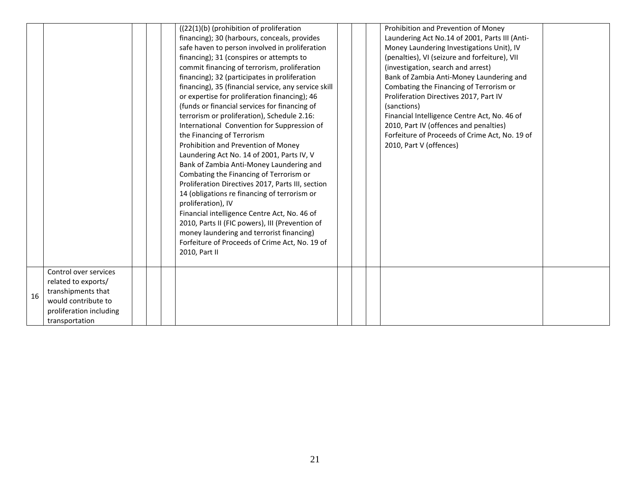|    |                                                                                                                                        |  | ((22(1)(b) (prohibition of proliferation<br>financing); 30 (harbours, conceals, provides<br>safe haven to person involved in proliferation<br>financing); 31 (conspires or attempts to<br>commit financing of terrorism, proliferation<br>financing); 32 (participates in proliferation<br>financing), 35 (financial service, any service skill<br>or expertise for proliferation financing); 46<br>(funds or financial services for financing of<br>terrorism or proliferation), Schedule 2.16:<br>International Convention for Suppression of<br>the Financing of Terrorism<br>Prohibition and Prevention of Money<br>Laundering Act No. 14 of 2001, Parts IV, V<br>Bank of Zambia Anti-Money Laundering and<br>Combating the Financing of Terrorism or<br>Proliferation Directives 2017, Parts III, section<br>14 (obligations re financing of terrorism or<br>proliferation), IV<br>Financial intelligence Centre Act, No. 46 of<br>2010, Parts II (FIC powers), III (Prevention of<br>money laundering and terrorist financing)<br>Forfeiture of Proceeds of Crime Act, No. 19 of |  | Prohibition and Prevention of Money<br>Laundering Act No.14 of 2001, Parts III (Anti-<br>Money Laundering Investigations Unit), IV<br>(penalties), VI (seizure and forfeiture), VII<br>(investigation, search and arrest)<br>Bank of Zambia Anti-Money Laundering and<br>Combating the Financing of Terrorism or<br>Proliferation Directives 2017, Part IV<br>(sanctions)<br>Financial Intelligence Centre Act, No. 46 of<br>2010, Part IV (offences and penalties)<br>Forfeiture of Proceeds of Crime Act, No. 19 of<br>2010, Part V (offences) |  |
|----|----------------------------------------------------------------------------------------------------------------------------------------|--|----------------------------------------------------------------------------------------------------------------------------------------------------------------------------------------------------------------------------------------------------------------------------------------------------------------------------------------------------------------------------------------------------------------------------------------------------------------------------------------------------------------------------------------------------------------------------------------------------------------------------------------------------------------------------------------------------------------------------------------------------------------------------------------------------------------------------------------------------------------------------------------------------------------------------------------------------------------------------------------------------------------------------------------------------------------------------------------|--|--------------------------------------------------------------------------------------------------------------------------------------------------------------------------------------------------------------------------------------------------------------------------------------------------------------------------------------------------------------------------------------------------------------------------------------------------------------------------------------------------------------------------------------------------|--|
|    |                                                                                                                                        |  | 2010, Part II                                                                                                                                                                                                                                                                                                                                                                                                                                                                                                                                                                                                                                                                                                                                                                                                                                                                                                                                                                                                                                                                          |  |                                                                                                                                                                                                                                                                                                                                                                                                                                                                                                                                                  |  |
| 16 | Control over services<br>related to exports/<br>transhipments that<br>would contribute to<br>proliferation including<br>transportation |  |                                                                                                                                                                                                                                                                                                                                                                                                                                                                                                                                                                                                                                                                                                                                                                                                                                                                                                                                                                                                                                                                                        |  |                                                                                                                                                                                                                                                                                                                                                                                                                                                                                                                                                  |  |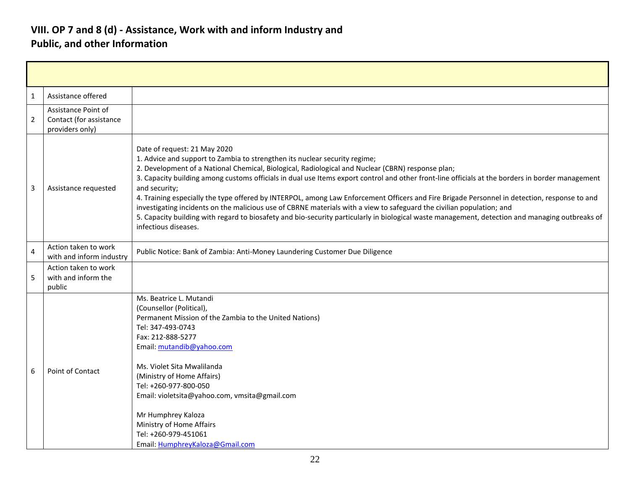#### **VIII. OP 7 and 8 (d) - Assistance, Work with and inform Industry and Public, and other Information**

| $\mathbf{1}$   | Assistance offered                                                |                                                                                                                                                                                                                                                                                                                                                                                                                                                                                                                                                                                                                                                                                                                                                                                                                                          |
|----------------|-------------------------------------------------------------------|------------------------------------------------------------------------------------------------------------------------------------------------------------------------------------------------------------------------------------------------------------------------------------------------------------------------------------------------------------------------------------------------------------------------------------------------------------------------------------------------------------------------------------------------------------------------------------------------------------------------------------------------------------------------------------------------------------------------------------------------------------------------------------------------------------------------------------------|
| $\overline{2}$ | Assistance Point of<br>Contact (for assistance<br>providers only) |                                                                                                                                                                                                                                                                                                                                                                                                                                                                                                                                                                                                                                                                                                                                                                                                                                          |
| 3              | Assistance requested                                              | Date of request: 21 May 2020<br>1. Advice and support to Zambia to strengthen its nuclear security regime;<br>2. Development of a National Chemical, Biological, Radiological and Nuclear (CBRN) response plan;<br>3. Capacity building among customs officials in dual use Items export control and other front-line officials at the borders in border management<br>and security;<br>4. Training especially the type offered by INTERPOL, among Law Enforcement Officers and Fire Brigade Personnel in detection, response to and<br>investigating incidents on the malicious use of CBRNE materials with a view to safeguard the civilian population; and<br>5. Capacity building with regard to biosafety and bio-security particularly in biological waste management, detection and managing outbreaks of<br>infectious diseases. |
| 4              | Action taken to work<br>with and inform industry                  | Public Notice: Bank of Zambia: Anti-Money Laundering Customer Due Diligence                                                                                                                                                                                                                                                                                                                                                                                                                                                                                                                                                                                                                                                                                                                                                              |
| 5              | Action taken to work<br>with and inform the<br>public             |                                                                                                                                                                                                                                                                                                                                                                                                                                                                                                                                                                                                                                                                                                                                                                                                                                          |
| 6              | <b>Point of Contact</b>                                           | Ms. Beatrice L. Mutandi<br>(Counsellor (Political),<br>Permanent Mission of the Zambia to the United Nations)<br>Tel: 347-493-0743<br>Fax: 212-888-5277<br>Email: mutandib@yahoo.com<br>Ms. Violet Sita Mwalilanda<br>(Ministry of Home Affairs)<br>Tel: +260-977-800-050<br>Email: violetsita@yahoo.com, vmsita@gmail.com<br>Mr Humphrey Kaloza<br>Ministry of Home Affairs<br>Tel: +260-979-451061<br>Email: HumphreyKaloza@Gmail.com                                                                                                                                                                                                                                                                                                                                                                                                  |